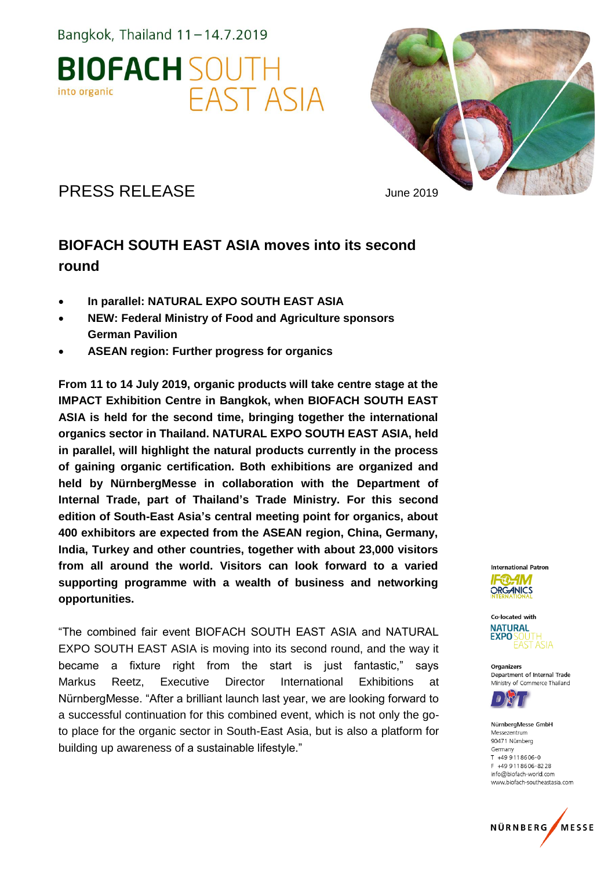Bangkok, Thailand  $11-14.7.2019$ 





PRESS RELEASE June 2019

## **BIOFACH SOUTH EAST ASIA moves into its second round**

- **In parallel: NATURAL EXPO SOUTH EAST ASIA**
- **NEW: Federal Ministry of Food and Agriculture sponsors German Pavilion**
- **ASEAN region: Further progress for organics**

**From 11 to 14 July 2019, organic products will take centre stage at the IMPACT Exhibition Centre in Bangkok, when BIOFACH SOUTH EAST ASIA is held for the second time, bringing together the international organics sector in Thailand. NATURAL EXPO SOUTH EAST ASIA, held in parallel, will highlight the natural products currently in the process of gaining organic certification. Both exhibitions are organized and held by NürnbergMesse in collaboration with the Department of Internal Trade, part of Thailand's Trade Ministry. For this second edition of South-East Asia's central meeting point for organics, about 400 exhibitors are expected from the ASEAN region, China, Germany, India, Turkey and other countries, together with about 23,000 visitors from all around the world. Visitors can look forward to a varied supporting programme with a wealth of business and networking opportunities.**

"The combined fair event BIOFACH SOUTH EAST ASIA and NATURAL EXPO SOUTH EAST ASIA is moving into its second round, and the way it became a fixture right from the start is just fantastic," says Markus Reetz, Executive Director International Exhibitions at NürnbergMesse. "After a brilliant launch last year, we are looking forward to a successful continuation for this combined event, which is not only the goto place for the organic sector in South-East Asia, but is also a platform for building up awareness of a sustainable lifestyle."



Co-located with **NATURAL**  $EXPO<sub>2</sub>$ FAST ASIA

Organizers Department of Internal Trade Ministry of Commerce Thailand



NürnbergMesse GmbH Messezentrum 90471 Nürnberg Germany  $T + 499118606 - 0$ F +49 911 8606-8228 info@biofach-world.com www.biofach-southeastasia.com

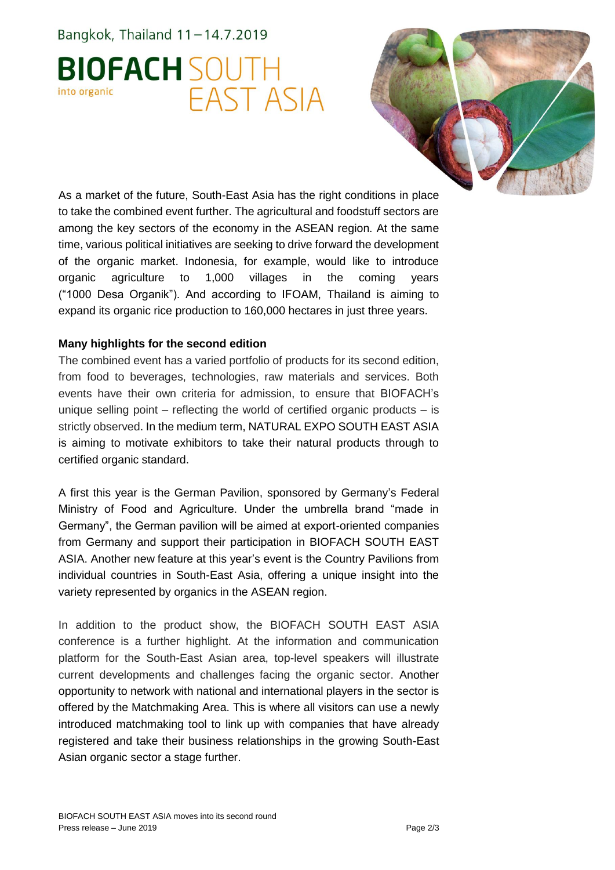Bangkok, Thailand  $11-14.7.2019$ 

# **BIOFACH SOUTH FAST ASIA** into organic



As a market of the future, South-East Asia has the right conditions in place to take the combined event further. The agricultural and foodstuff sectors are among the key sectors of the economy in the ASEAN region. At the same time, various political initiatives are seeking to drive forward the development of the organic market. Indonesia, for example, would like to introduce organic agriculture to 1,000 villages in the coming years ("1000 Desa Organik"). And according to IFOAM, Thailand is aiming to expand its organic rice production to 160,000 hectares in just three years.

#### **Many highlights for the second edition**

The combined event has a varied portfolio of products for its second edition, from food to beverages, technologies, raw materials and services. Both events have their own criteria for admission, to ensure that BIOFACH's unique selling point – reflecting the world of certified organic products – is strictly observed. In the medium term, NATURAL EXPO SOUTH EAST ASIA is aiming to motivate exhibitors to take their natural products through to certified organic standard.

A first this year is the German Pavilion, sponsored by Germany's Federal Ministry of Food and Agriculture. Under the umbrella brand "made in Germany", the German pavilion will be aimed at export-oriented companies from Germany and support their participation in BIOFACH SOUTH EAST ASIA. Another new feature at this year's event is the Country Pavilions from individual countries in South-East Asia, offering a unique insight into the variety represented by organics in the ASEAN region.

In addition to the product show, the BIOFACH SOUTH EAST ASIA conference is a further highlight. At the information and communication platform for the South-East Asian area, top-level speakers will illustrate current developments and challenges facing the organic sector. Another opportunity to network with national and international players in the sector is offered by the Matchmaking Area. This is where all visitors can use a newly introduced matchmaking tool to link up with companies that have already registered and take their business relationships in the growing South-East Asian organic sector a stage further.